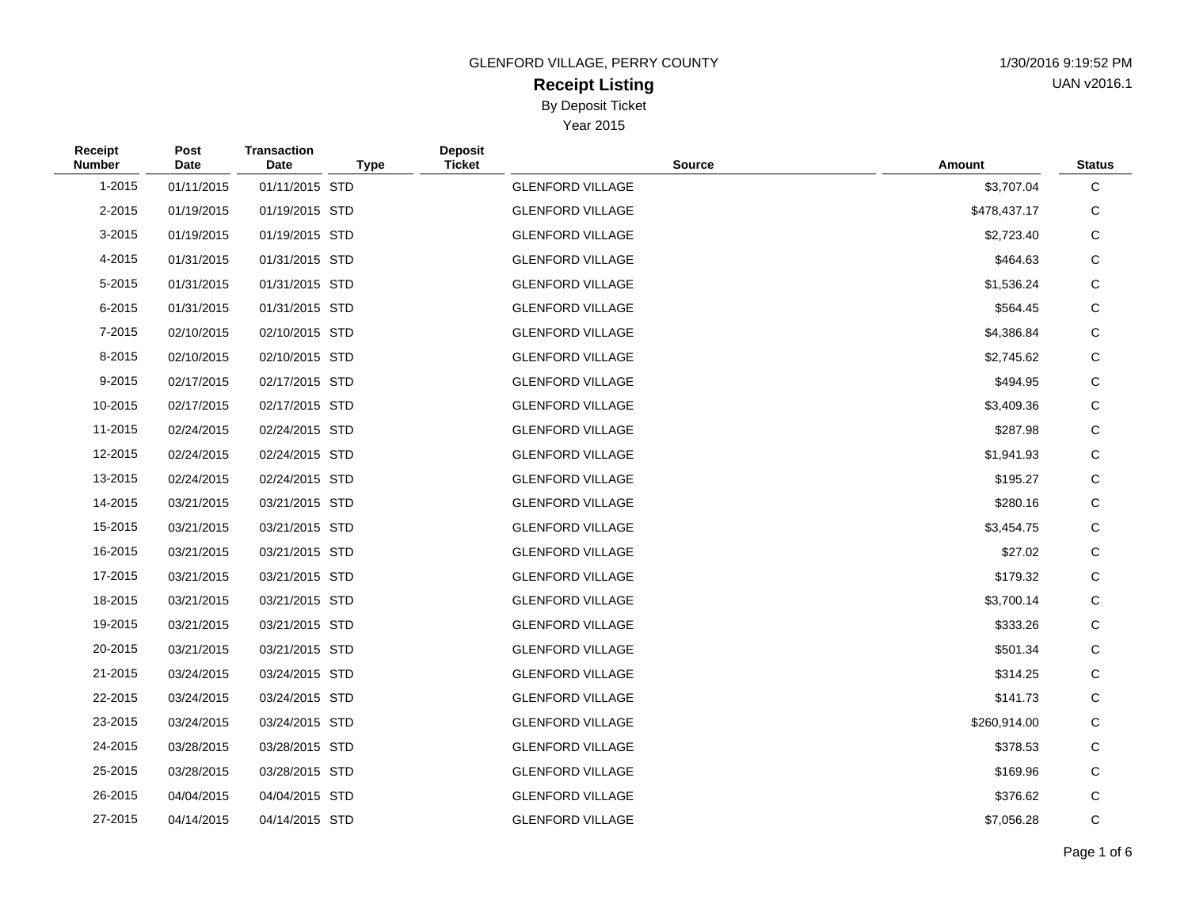# **Receipt Listing** By Deposit Ticket

| 1/30/2016 9:19:52 PM |
|----------------------|
| UAN v2016.1          |

| <b>Receipt</b><br><b>Number</b> | Post<br>Date | <b>Transaction</b><br>Date | <b>Type</b> | <b>Deposit</b><br><b>Ticket</b> | <b>Source</b>           | Amount       | <b>Status</b> |
|---------------------------------|--------------|----------------------------|-------------|---------------------------------|-------------------------|--------------|---------------|
| 1-2015                          | 01/11/2015   | 01/11/2015 STD             |             |                                 | <b>GLENFORD VILLAGE</b> | \$3,707.04   | С             |
| 2-2015                          | 01/19/2015   | 01/19/2015 STD             |             |                                 | <b>GLENFORD VILLAGE</b> | \$478,437.17 | С             |
| 3-2015                          | 01/19/2015   | 01/19/2015 STD             |             |                                 | <b>GLENFORD VILLAGE</b> | \$2,723.40   | С             |
| 4-2015                          | 01/31/2015   | 01/31/2015 STD             |             |                                 | <b>GLENFORD VILLAGE</b> | \$464.63     | С             |
| 5-2015                          | 01/31/2015   | 01/31/2015 STD             |             |                                 | <b>GLENFORD VILLAGE</b> | \$1,536.24   | С             |
| 6-2015                          | 01/31/2015   | 01/31/2015 STD             |             |                                 | <b>GLENFORD VILLAGE</b> | \$564.45     | С             |
| 7-2015                          | 02/10/2015   | 02/10/2015 STD             |             |                                 | <b>GLENFORD VILLAGE</b> | \$4,386.84   | С             |
| 8-2015                          | 02/10/2015   | 02/10/2015 STD             |             |                                 | <b>GLENFORD VILLAGE</b> | \$2,745.62   | С             |
| 9-2015                          | 02/17/2015   | 02/17/2015 STD             |             |                                 | <b>GLENFORD VILLAGE</b> | \$494.95     | С             |
| 10-2015                         | 02/17/2015   | 02/17/2015 STD             |             |                                 | <b>GLENFORD VILLAGE</b> | \$3,409.36   | С             |
| 11-2015                         | 02/24/2015   | 02/24/2015 STD             |             |                                 | <b>GLENFORD VILLAGE</b> | \$287.98     | С             |
| 12-2015                         | 02/24/2015   | 02/24/2015 STD             |             |                                 | <b>GLENFORD VILLAGE</b> | \$1,941.93   | С             |
| 13-2015                         | 02/24/2015   | 02/24/2015 STD             |             |                                 | <b>GLENFORD VILLAGE</b> | \$195.27     | С             |
| 14-2015                         | 03/21/2015   | 03/21/2015 STD             |             |                                 | <b>GLENFORD VILLAGE</b> | \$280.16     | С             |
| 15-2015                         | 03/21/2015   | 03/21/2015 STD             |             |                                 | <b>GLENFORD VILLAGE</b> | \$3,454.75   | С             |
| 16-2015                         | 03/21/2015   | 03/21/2015 STD             |             |                                 | <b>GLENFORD VILLAGE</b> | \$27.02      | С             |
| 17-2015                         | 03/21/2015   | 03/21/2015 STD             |             |                                 | <b>GLENFORD VILLAGE</b> | \$179.32     | С             |
| 18-2015                         | 03/21/2015   | 03/21/2015 STD             |             |                                 | <b>GLENFORD VILLAGE</b> | \$3,700.14   | С             |
| 19-2015                         | 03/21/2015   | 03/21/2015 STD             |             |                                 | <b>GLENFORD VILLAGE</b> | \$333.26     | С             |
| 20-2015                         | 03/21/2015   | 03/21/2015 STD             |             |                                 | <b>GLENFORD VILLAGE</b> | \$501.34     | С             |
| 21-2015                         | 03/24/2015   | 03/24/2015 STD             |             |                                 | <b>GLENFORD VILLAGE</b> | \$314.25     | С             |
| 22-2015                         | 03/24/2015   | 03/24/2015 STD             |             |                                 | <b>GLENFORD VILLAGE</b> | \$141.73     | С             |
| 23-2015                         | 03/24/2015   | 03/24/2015 STD             |             |                                 | <b>GLENFORD VILLAGE</b> | \$260,914.00 | С             |
| 24-2015                         | 03/28/2015   | 03/28/2015 STD             |             |                                 | <b>GLENFORD VILLAGE</b> | \$378.53     | С             |
| 25-2015                         | 03/28/2015   | 03/28/2015 STD             |             |                                 | <b>GLENFORD VILLAGE</b> | \$169.96     | С             |
| 26-2015                         | 04/04/2015   | 04/04/2015 STD             |             |                                 | <b>GLENFORD VILLAGE</b> | \$376.62     | С             |
| 27-2015                         | 04/14/2015   | 04/14/2015 STD             |             |                                 | <b>GLENFORD VILLAGE</b> | \$7,056.28   | С             |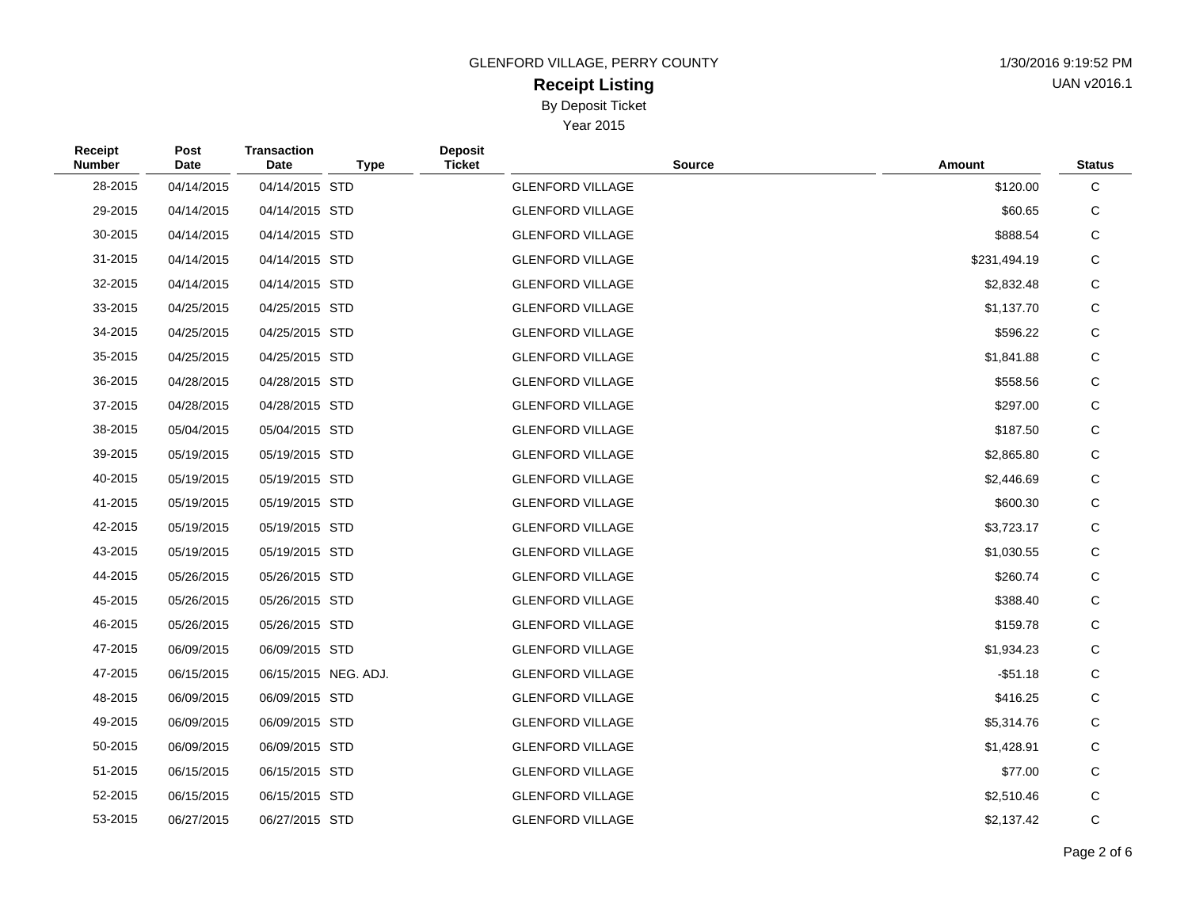# **Receipt Listing** By Deposit Ticket

| 1/30/2016 9:19:52 PM |
|----------------------|
| UAN v2016.1          |

| Receipt<br><b>Number</b> | Post<br>Date | <b>Transaction</b><br><b>Date</b> | <b>Type</b>          | <b>Deposit</b><br><b>Ticket</b> | <b>Source</b>           | Amount       | <b>Status</b> |
|--------------------------|--------------|-----------------------------------|----------------------|---------------------------------|-------------------------|--------------|---------------|
| 28-2015                  | 04/14/2015   | 04/14/2015 STD                    |                      |                                 | <b>GLENFORD VILLAGE</b> | \$120.00     | С             |
| 29-2015                  | 04/14/2015   | 04/14/2015 STD                    |                      |                                 | <b>GLENFORD VILLAGE</b> | \$60.65      | С             |
| 30-2015                  | 04/14/2015   | 04/14/2015 STD                    |                      |                                 | <b>GLENFORD VILLAGE</b> | \$888.54     | С             |
| 31-2015                  | 04/14/2015   | 04/14/2015 STD                    |                      |                                 | <b>GLENFORD VILLAGE</b> | \$231,494.19 | С             |
| 32-2015                  | 04/14/2015   | 04/14/2015 STD                    |                      |                                 | <b>GLENFORD VILLAGE</b> | \$2,832.48   | C             |
| 33-2015                  | 04/25/2015   | 04/25/2015 STD                    |                      |                                 | <b>GLENFORD VILLAGE</b> | \$1,137.70   | С             |
| 34-2015                  | 04/25/2015   | 04/25/2015 STD                    |                      |                                 | <b>GLENFORD VILLAGE</b> | \$596.22     | C             |
| 35-2015                  | 04/25/2015   | 04/25/2015 STD                    |                      |                                 | <b>GLENFORD VILLAGE</b> | \$1,841.88   | С             |
| 36-2015                  | 04/28/2015   | 04/28/2015 STD                    |                      |                                 | <b>GLENFORD VILLAGE</b> | \$558.56     | С             |
| 37-2015                  | 04/28/2015   | 04/28/2015 STD                    |                      |                                 | <b>GLENFORD VILLAGE</b> | \$297.00     | С             |
| 38-2015                  | 05/04/2015   | 05/04/2015 STD                    |                      |                                 | <b>GLENFORD VILLAGE</b> | \$187.50     | С             |
| 39-2015                  | 05/19/2015   | 05/19/2015 STD                    |                      |                                 | <b>GLENFORD VILLAGE</b> | \$2,865.80   | С             |
| 40-2015                  | 05/19/2015   | 05/19/2015 STD                    |                      |                                 | <b>GLENFORD VILLAGE</b> | \$2,446.69   | С             |
| 41-2015                  | 05/19/2015   | 05/19/2015 STD                    |                      |                                 | <b>GLENFORD VILLAGE</b> | \$600.30     | С             |
| 42-2015                  | 05/19/2015   | 05/19/2015 STD                    |                      |                                 | <b>GLENFORD VILLAGE</b> | \$3,723.17   | $\mathsf C$   |
| 43-2015                  | 05/19/2015   | 05/19/2015 STD                    |                      |                                 | <b>GLENFORD VILLAGE</b> | \$1,030.55   | С             |
| 44-2015                  | 05/26/2015   | 05/26/2015 STD                    |                      |                                 | <b>GLENFORD VILLAGE</b> | \$260.74     | С             |
| 45-2015                  | 05/26/2015   | 05/26/2015 STD                    |                      |                                 | <b>GLENFORD VILLAGE</b> | \$388.40     | C             |
| 46-2015                  | 05/26/2015   | 05/26/2015 STD                    |                      |                                 | <b>GLENFORD VILLAGE</b> | \$159.78     | С             |
| 47-2015                  | 06/09/2015   | 06/09/2015 STD                    |                      |                                 | <b>GLENFORD VILLAGE</b> | \$1,934.23   | C             |
| 47-2015                  | 06/15/2015   |                                   | 06/15/2015 NEG. ADJ. |                                 | <b>GLENFORD VILLAGE</b> | $-$ \$51.18  | C             |
| 48-2015                  | 06/09/2015   | 06/09/2015 STD                    |                      |                                 | <b>GLENFORD VILLAGE</b> | \$416.25     | С             |
| 49-2015                  | 06/09/2015   | 06/09/2015 STD                    |                      |                                 | <b>GLENFORD VILLAGE</b> | \$5,314.76   | C             |
| 50-2015                  | 06/09/2015   | 06/09/2015 STD                    |                      |                                 | <b>GLENFORD VILLAGE</b> | \$1,428.91   | С             |
| 51-2015                  | 06/15/2015   | 06/15/2015 STD                    |                      |                                 | <b>GLENFORD VILLAGE</b> | \$77.00      | C             |
| 52-2015                  | 06/15/2015   | 06/15/2015 STD                    |                      |                                 | <b>GLENFORD VILLAGE</b> | \$2,510.46   | С             |
| 53-2015                  | 06/27/2015   | 06/27/2015 STD                    |                      |                                 | <b>GLENFORD VILLAGE</b> | \$2,137.42   | С             |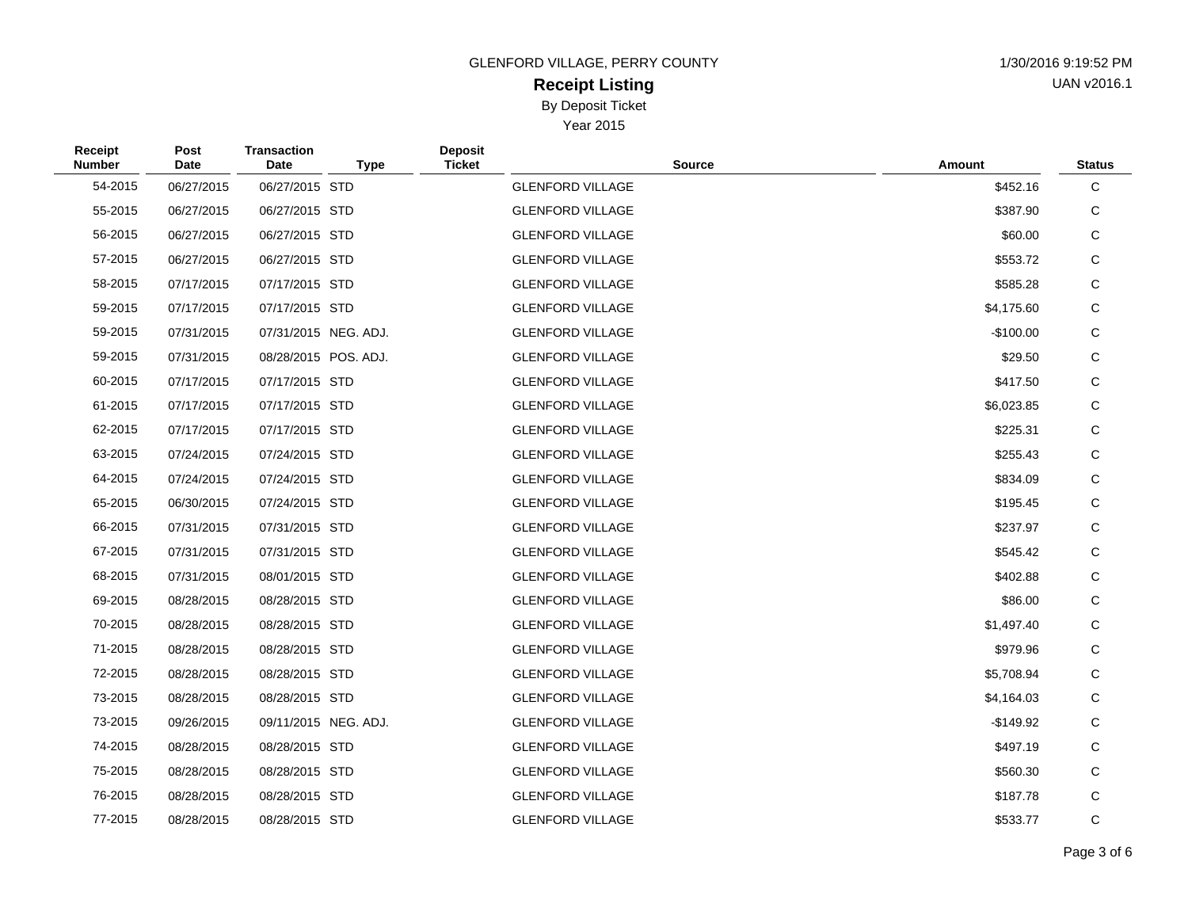# **Receipt Listing** By Deposit Ticket

| 1/30/2016 9:19:52 PM |
|----------------------|
| UAN v2016.1          |

| Receipt<br><b>Number</b> | Post<br>Date | <b>Transaction</b><br>Date | <b>Type</b>          | <b>Deposit</b><br><b>Ticket</b> | <b>Source</b>           | Amount     | <b>Status</b> |
|--------------------------|--------------|----------------------------|----------------------|---------------------------------|-------------------------|------------|---------------|
| 54-2015                  | 06/27/2015   | 06/27/2015 STD             |                      |                                 | <b>GLENFORD VILLAGE</b> | \$452.16   | С             |
| 55-2015                  | 06/27/2015   | 06/27/2015 STD             |                      |                                 | <b>GLENFORD VILLAGE</b> | \$387.90   | С             |
| 56-2015                  | 06/27/2015   | 06/27/2015 STD             |                      |                                 | <b>GLENFORD VILLAGE</b> | \$60.00    | С             |
| 57-2015                  | 06/27/2015   | 06/27/2015 STD             |                      |                                 | <b>GLENFORD VILLAGE</b> | \$553.72   | С             |
| 58-2015                  | 07/17/2015   | 07/17/2015 STD             |                      |                                 | <b>GLENFORD VILLAGE</b> | \$585.28   | С             |
| 59-2015                  | 07/17/2015   | 07/17/2015 STD             |                      |                                 | <b>GLENFORD VILLAGE</b> | \$4,175.60 | С             |
| 59-2015                  | 07/31/2015   |                            | 07/31/2015 NEG. ADJ. |                                 | <b>GLENFORD VILLAGE</b> | $-$100.00$ | С             |
| 59-2015                  | 07/31/2015   |                            | 08/28/2015 POS. ADJ. |                                 | <b>GLENFORD VILLAGE</b> | \$29.50    | С             |
| 60-2015                  | 07/17/2015   | 07/17/2015 STD             |                      |                                 | <b>GLENFORD VILLAGE</b> | \$417.50   | С             |
| 61-2015                  | 07/17/2015   | 07/17/2015 STD             |                      |                                 | <b>GLENFORD VILLAGE</b> | \$6,023.85 | С             |
| 62-2015                  | 07/17/2015   | 07/17/2015 STD             |                      |                                 | <b>GLENFORD VILLAGE</b> | \$225.31   | С             |
| 63-2015                  | 07/24/2015   | 07/24/2015 STD             |                      |                                 | <b>GLENFORD VILLAGE</b> | \$255.43   | $\mathsf C$   |
| 64-2015                  | 07/24/2015   | 07/24/2015 STD             |                      |                                 | <b>GLENFORD VILLAGE</b> | \$834.09   | С             |
| 65-2015                  | 06/30/2015   | 07/24/2015 STD             |                      |                                 | <b>GLENFORD VILLAGE</b> | \$195.45   | С             |
| 66-2015                  | 07/31/2015   | 07/31/2015 STD             |                      |                                 | <b>GLENFORD VILLAGE</b> | \$237.97   | С             |
| 67-2015                  | 07/31/2015   | 07/31/2015 STD             |                      |                                 | <b>GLENFORD VILLAGE</b> | \$545.42   | С             |
| 68-2015                  | 07/31/2015   | 08/01/2015 STD             |                      |                                 | <b>GLENFORD VILLAGE</b> | \$402.88   | C             |
| 69-2015                  | 08/28/2015   | 08/28/2015 STD             |                      |                                 | <b>GLENFORD VILLAGE</b> | \$86.00    | С             |
| 70-2015                  | 08/28/2015   | 08/28/2015 STD             |                      |                                 | <b>GLENFORD VILLAGE</b> | \$1,497.40 | С             |
| 71-2015                  | 08/28/2015   | 08/28/2015 STD             |                      |                                 | <b>GLENFORD VILLAGE</b> | \$979.96   | С             |
| 72-2015                  | 08/28/2015   | 08/28/2015 STD             |                      |                                 | <b>GLENFORD VILLAGE</b> | \$5,708.94 | С             |
| 73-2015                  | 08/28/2015   | 08/28/2015 STD             |                      |                                 | <b>GLENFORD VILLAGE</b> | \$4,164.03 | С             |
| 73-2015                  | 09/26/2015   |                            | 09/11/2015 NEG. ADJ. |                                 | <b>GLENFORD VILLAGE</b> | $-$149.92$ | С             |
| 74-2015                  | 08/28/2015   | 08/28/2015 STD             |                      |                                 | <b>GLENFORD VILLAGE</b> | \$497.19   | С             |
| 75-2015                  | 08/28/2015   | 08/28/2015 STD             |                      |                                 | <b>GLENFORD VILLAGE</b> | \$560.30   | С             |
| 76-2015                  | 08/28/2015   | 08/28/2015 STD             |                      |                                 | <b>GLENFORD VILLAGE</b> | \$187.78   | C             |
| 77-2015                  | 08/28/2015   | 08/28/2015 STD             |                      |                                 | <b>GLENFORD VILLAGE</b> | \$533.77   | С             |
|                          |              |                            |                      |                                 |                         |            |               |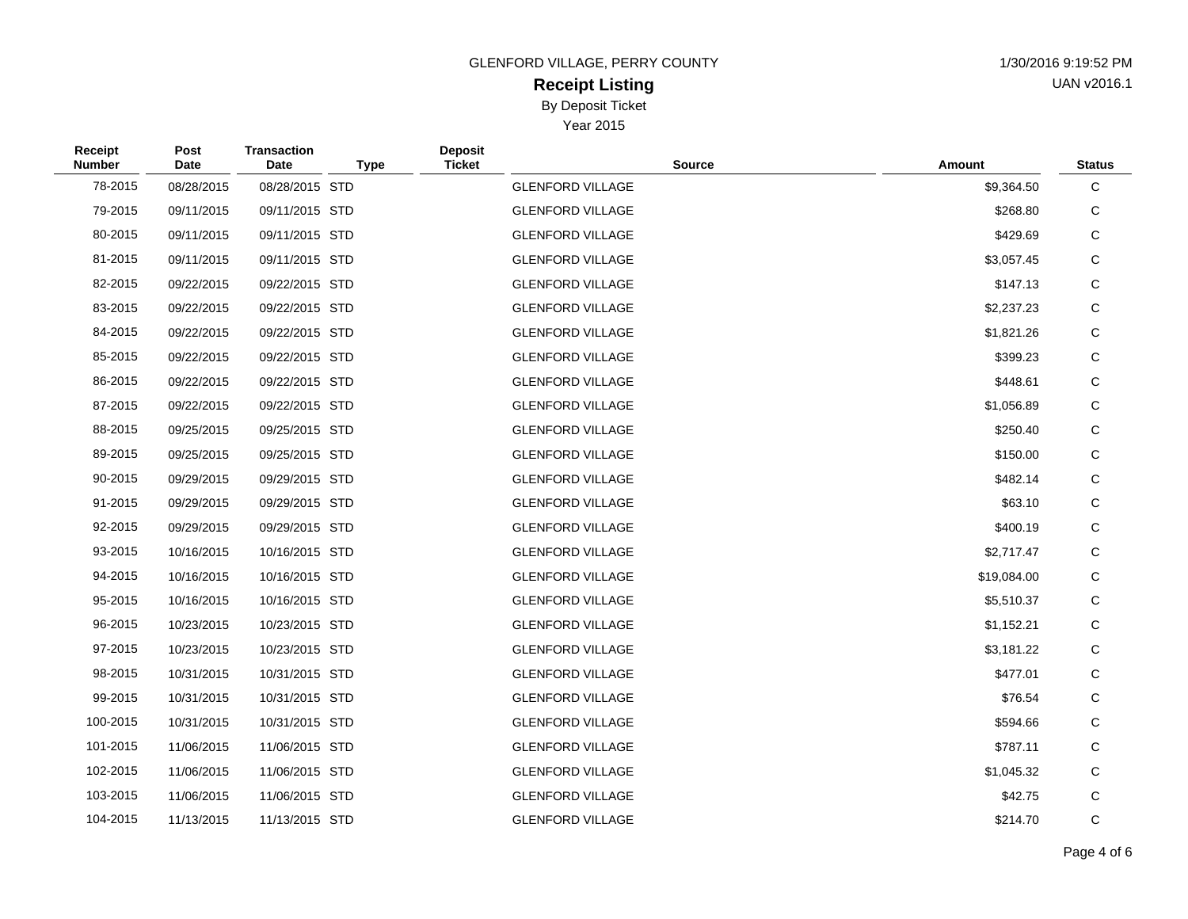# **Receipt Listing** By Deposit Ticket

| 1/30/2016 9:19:52 PM |
|----------------------|
| UAN v2016.1          |

| Receipt<br><b>Number</b> | Post<br>Date | <b>Transaction</b><br>Date | <b>Deposit</b><br><b>Ticket</b><br><b>Type</b> | <b>Source</b>           | Amount      | <b>Status</b> |
|--------------------------|--------------|----------------------------|------------------------------------------------|-------------------------|-------------|---------------|
| 78-2015                  | 08/28/2015   | 08/28/2015 STD             |                                                | <b>GLENFORD VILLAGE</b> | \$9,364.50  | C             |
| 79-2015                  | 09/11/2015   | 09/11/2015 STD             |                                                | <b>GLENFORD VILLAGE</b> | \$268.80    | С             |
| 80-2015                  | 09/11/2015   | 09/11/2015 STD             |                                                | <b>GLENFORD VILLAGE</b> | \$429.69    | C             |
| 81-2015                  | 09/11/2015   | 09/11/2015 STD             |                                                | <b>GLENFORD VILLAGE</b> | \$3,057.45  | C             |
| 82-2015                  | 09/22/2015   | 09/22/2015 STD             |                                                | <b>GLENFORD VILLAGE</b> | \$147.13    | C             |
| 83-2015                  | 09/22/2015   | 09/22/2015 STD             |                                                | <b>GLENFORD VILLAGE</b> | \$2,237.23  | C             |
| 84-2015                  | 09/22/2015   | 09/22/2015 STD             |                                                | <b>GLENFORD VILLAGE</b> | \$1,821.26  | C             |
| 85-2015                  | 09/22/2015   | 09/22/2015 STD             |                                                | <b>GLENFORD VILLAGE</b> | \$399.23    | $\mathbf C$   |
| 86-2015                  | 09/22/2015   | 09/22/2015 STD             |                                                | <b>GLENFORD VILLAGE</b> | \$448.61    | С             |
| 87-2015                  | 09/22/2015   | 09/22/2015 STD             |                                                | <b>GLENFORD VILLAGE</b> | \$1,056.89  | С             |
| 88-2015                  | 09/25/2015   | 09/25/2015 STD             |                                                | <b>GLENFORD VILLAGE</b> | \$250.40    | С             |
| 89-2015                  | 09/25/2015   | 09/25/2015 STD             |                                                | <b>GLENFORD VILLAGE</b> | \$150.00    | C             |
| 90-2015                  | 09/29/2015   | 09/29/2015 STD             |                                                | <b>GLENFORD VILLAGE</b> | \$482.14    | C             |
| 91-2015                  | 09/29/2015   | 09/29/2015 STD             |                                                | <b>GLENFORD VILLAGE</b> | \$63.10     | С             |
| 92-2015                  | 09/29/2015   | 09/29/2015 STD             |                                                | <b>GLENFORD VILLAGE</b> | \$400.19    | C             |
| 93-2015                  | 10/16/2015   | 10/16/2015 STD             |                                                | <b>GLENFORD VILLAGE</b> | \$2,717.47  | C             |
| 94-2015                  | 10/16/2015   | 10/16/2015 STD             |                                                | <b>GLENFORD VILLAGE</b> | \$19,084.00 | C             |
| 95-2015                  | 10/16/2015   | 10/16/2015 STD             |                                                | <b>GLENFORD VILLAGE</b> | \$5,510.37  | C             |
| 96-2015                  | 10/23/2015   | 10/23/2015 STD             |                                                | <b>GLENFORD VILLAGE</b> | \$1,152.21  | C             |
| 97-2015                  | 10/23/2015   | 10/23/2015 STD             |                                                | <b>GLENFORD VILLAGE</b> | \$3,181.22  | C             |
| 98-2015                  | 10/31/2015   | 10/31/2015 STD             |                                                | <b>GLENFORD VILLAGE</b> | \$477.01    | C             |
| 99-2015                  | 10/31/2015   | 10/31/2015 STD             |                                                | <b>GLENFORD VILLAGE</b> | \$76.54     | С             |
| 100-2015                 | 10/31/2015   | 10/31/2015 STD             |                                                | <b>GLENFORD VILLAGE</b> | \$594.66    | C             |
| 101-2015                 | 11/06/2015   | 11/06/2015 STD             |                                                | <b>GLENFORD VILLAGE</b> | \$787.11    | C             |
| 102-2015                 | 11/06/2015   | 11/06/2015 STD             |                                                | <b>GLENFORD VILLAGE</b> | \$1,045.32  | C             |
| 103-2015                 | 11/06/2015   | 11/06/2015 STD             |                                                | <b>GLENFORD VILLAGE</b> | \$42.75     | C             |
| 104-2015                 | 11/13/2015   | 11/13/2015 STD             |                                                | <b>GLENFORD VILLAGE</b> | \$214.70    | C             |
|                          |              |                            |                                                |                         |             |               |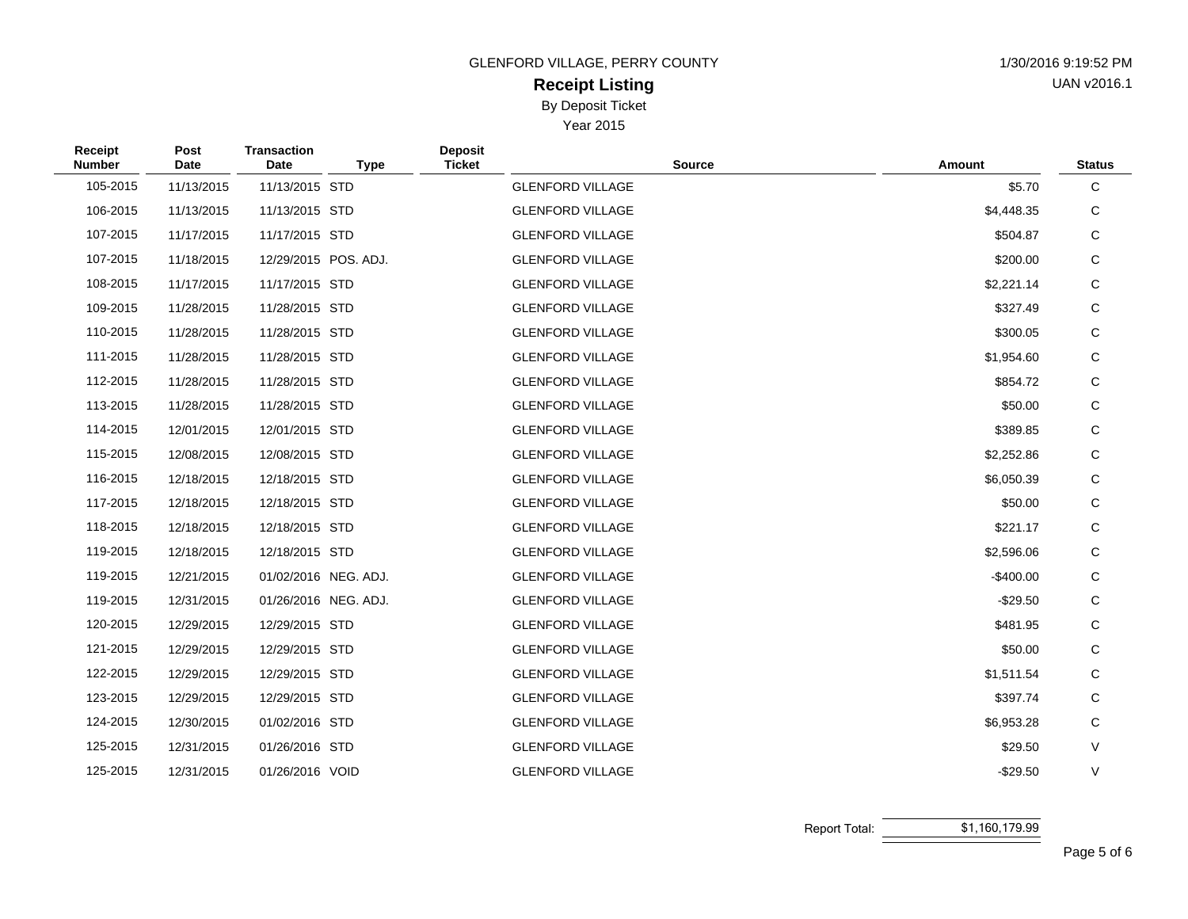# **Receipt Listing** By Deposit Ticket

Year 2015

| <b>GLENFORD VILLAGE, PERRY COUNTY</b> | 1/30/2016 9:19:52 PM |
|---------------------------------------|----------------------|
| Receint Listing                       | UAN v2016.1          |

AN v2016.1

| Receipt<br><b>Number</b> | Post<br>Date | <b>Transaction</b><br>Date | <b>Type</b>          | <b>Deposit</b><br><b>Ticket</b> | <b>Source</b>           | Amount       | <b>Status</b> |
|--------------------------|--------------|----------------------------|----------------------|---------------------------------|-------------------------|--------------|---------------|
| 105-2015                 | 11/13/2015   | 11/13/2015 STD             |                      |                                 | <b>GLENFORD VILLAGE</b> | \$5.70       | С             |
| 106-2015                 | 11/13/2015   | 11/13/2015 STD             |                      |                                 | <b>GLENFORD VILLAGE</b> | \$4,448.35   | С             |
| 107-2015                 | 11/17/2015   | 11/17/2015 STD             |                      |                                 | <b>GLENFORD VILLAGE</b> | \$504.87     | С             |
| 107-2015                 | 11/18/2015   |                            | 12/29/2015 POS. ADJ. |                                 | <b>GLENFORD VILLAGE</b> | \$200.00     | С             |
| 108-2015                 | 11/17/2015   | 11/17/2015 STD             |                      |                                 | <b>GLENFORD VILLAGE</b> | \$2,221.14   | С             |
| 109-2015                 | 11/28/2015   | 11/28/2015 STD             |                      |                                 | <b>GLENFORD VILLAGE</b> | \$327.49     | С             |
| 110-2015                 | 11/28/2015   | 11/28/2015 STD             |                      |                                 | <b>GLENFORD VILLAGE</b> | \$300.05     | С             |
| 111-2015                 | 11/28/2015   | 11/28/2015 STD             |                      |                                 | <b>GLENFORD VILLAGE</b> | \$1,954.60   | С             |
| 112-2015                 | 11/28/2015   | 11/28/2015 STD             |                      |                                 | <b>GLENFORD VILLAGE</b> | \$854.72     | С             |
| 113-2015                 | 11/28/2015   | 11/28/2015 STD             |                      |                                 | <b>GLENFORD VILLAGE</b> | \$50.00      | $\mathsf C$   |
| 114-2015                 | 12/01/2015   | 12/01/2015 STD             |                      |                                 | <b>GLENFORD VILLAGE</b> | \$389.85     | С             |
| 115-2015                 | 12/08/2015   | 12/08/2015 STD             |                      |                                 | <b>GLENFORD VILLAGE</b> | \$2,252.86   | С             |
| 116-2015                 | 12/18/2015   | 12/18/2015 STD             |                      |                                 | <b>GLENFORD VILLAGE</b> | \$6,050.39   | С             |
| 117-2015                 | 12/18/2015   | 12/18/2015 STD             |                      |                                 | <b>GLENFORD VILLAGE</b> | \$50.00      | С             |
| 118-2015                 | 12/18/2015   | 12/18/2015 STD             |                      |                                 | <b>GLENFORD VILLAGE</b> | \$221.17     | С             |
| 119-2015                 | 12/18/2015   | 12/18/2015 STD             |                      |                                 | <b>GLENFORD VILLAGE</b> | \$2,596.06   | С             |
| 119-2015                 | 12/21/2015   |                            | 01/02/2016 NEG. ADJ. |                                 | <b>GLENFORD VILLAGE</b> | $-$ \$400.00 | С             |
| 119-2015                 | 12/31/2015   |                            | 01/26/2016 NEG. ADJ. |                                 | <b>GLENFORD VILLAGE</b> | $-$29.50$    | С             |
| 120-2015                 | 12/29/2015   | 12/29/2015 STD             |                      |                                 | <b>GLENFORD VILLAGE</b> | \$481.95     | С             |
| 121-2015                 | 12/29/2015   | 12/29/2015 STD             |                      |                                 | <b>GLENFORD VILLAGE</b> | \$50.00      | С             |
| 122-2015                 | 12/29/2015   | 12/29/2015 STD             |                      |                                 | <b>GLENFORD VILLAGE</b> | \$1,511.54   | С             |
| 123-2015                 | 12/29/2015   | 12/29/2015 STD             |                      |                                 | <b>GLENFORD VILLAGE</b> | \$397.74     | С             |
| 124-2015                 | 12/30/2015   | 01/02/2016 STD             |                      |                                 | <b>GLENFORD VILLAGE</b> | \$6,953.28   | С             |
| 125-2015                 | 12/31/2015   | 01/26/2016 STD             |                      |                                 | <b>GLENFORD VILLAGE</b> | \$29.50      | V             |
| 125-2015                 | 12/31/2015   | 01/26/2016 VOID            |                      |                                 | <b>GLENFORD VILLAGE</b> | $-$29.50$    | V             |

Report Total: \$1,160,179.99